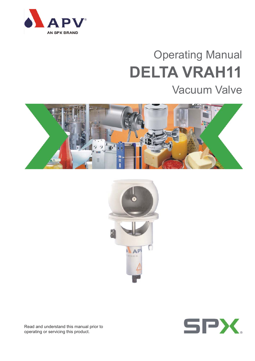

# Operating Manual **DELTA VRAH11**

# Vacuum Valve







Read and understand this manual prior to operating or servicing this product.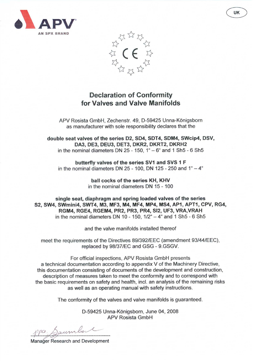



# **Declaration of Conformity** for Valves and Valve Manifolds

APV Rosista GmbH, Zechenstr. 49, D-59425 Unna-Königsborn as manufacturer with sole responsibility declares that the

double seat valves of the series D2, SD4, SDT4, SDM4, SWcip4, DSV, DA3, DE3, DEU3, DET3, DKR2, DKRT2, DKRH2 in the nominal diameters DN  $25 - 150$ ,  $1^{\circ} - 6^{\circ}$  and 1 Sh $5 - 6$  Sh $5$ 

butterfly valves of the series SV1 and SVS 1 F in the nominal diameters DN 25 - 100, DN 125 - 250 and  $1^{\circ} - 4^{\circ}$ 

> ball cocks of the series KH, KHV in the nominal diameters DN 15 - 100

single seat, diaphragm and spring loaded valves of the series S2, SW4, SWmini4, SWT4, M3, MF3, M4, MF4, MP4, MS4, AP1, APT1, CPV, RG4, RGM4, RGE4, RGEM4, PR2, PR3, PR4, SI2, UF3, VRA, VRAH in the nominal diameters DN 10 - 150,  $1/2^{\circ}$  - 4 $^{\circ}$  and 1 Sh5 - 6 Sh5

and the valve manifolds installed thereof

meet the requirements of the Directives 89/392/EEC (amendment 93/44/EEC), replaced by 98/37/EC and GSG - 9.GSGV.

For official inspections, APV Rosista GmbH presents a technical documentation according to appendix V of the Machinery Directive, this documentation consisting of documents of the development and construction, description of measures taken to meet the conformity and to correspond with the basic requirements on safety and health, incl. an analysis of the remaining risks as well as an operating manual with safety instructions.

The conformity of the valves and valve manifolds is guaranteed.

D-59425 Unna-Königsborn, June 04, 2008 **APV Rosista GmbH** 

aum

**Manager Research and Development**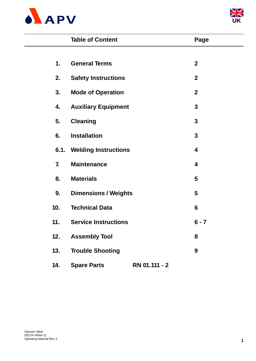



|              | <b>Table of Content</b>          |               | Page             |
|--------------|----------------------------------|---------------|------------------|
|              |                                  |               |                  |
| 1.           | <b>General Terms</b>             |               | $\boldsymbol{2}$ |
| 2.           | <b>Safety Instructions</b>       |               | $\mathbf 2$      |
| 3.           | <b>Mode of Operation</b>         |               | $\mathbf{2}$     |
| 4.           | <b>Auxiliary Equipment</b>       |               | 3                |
| 5.           | <b>Cleaning</b>                  |               | 3                |
| 6.           | <b>Installation</b>              |               | 3                |
|              | <b>6.1. Welding Instructions</b> |               | 4                |
| $\mathbf{7}$ | <b>Maintenance</b>               |               | 4                |
| 8.           | <b>Materials</b>                 |               | 5                |
| 9.           | <b>Dimensions / Weights</b>      |               | 5                |
| 10.          | <b>Technical Data</b>            |               | 6                |
| 11.          | <b>Service Instructions</b>      |               | $6 - 7$          |
| 12.          | <b>Assembly Tool</b>             |               | 8                |
| 13.          | <b>Trouble Shooting</b>          |               | 9                |
| 14.          | <b>Spare Parts</b>               | RN 01.111 - 2 |                  |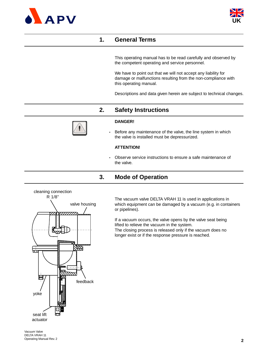



# **1. General Terms**

This operating manual has to be read carefully and observed by the competent operating and service personnel.

We have to point out that we will not accept any liability for damage or malfunctions resulting from the non-compliance with this operating manual.

Descriptions and data given herein are subject to technical changes.

# **2. Safety Instructions**



### **DANGER!**

**-** Before any maintenance of the valve, the line system in which the valve is installed must be depressurized.

### **ATTENTION!**

**-** Observe service instructions to ensure a safe maintenance of the valve.

# **3. Mode of Operation**



The vacuum valve DELTA VRAH 11 is used in applications in which equipment can be damaged by a vacuum (e.g. in containers or pipelines).

If a vacuum occurs, the valve opens by the valve seat being lifted to relieve the vacuum in the system. The closing process is released only if the vacuum does no longer exist or if the response pressure is reached.

Vacuum Valve DELTA VRAH 11 Operating Manual Rev. 2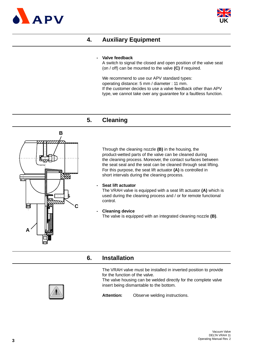



# **4. Auxiliary Equipment**

### **- Valve feedback**

A switch to signal the closed and open position of the valve seat (on / off) can be mounted to the valve **(C)** if required.

We recommend to use our APV standard types: operating distance: 5 mm / diameter : 11 mm. If the customer decides to use a valve feedback other than APV type, we cannot take over any guarantee for a faultless function.

# **5. Cleaning**



Through the cleaning nozzle **(B)** in the housing, the product-wetted parts of the valve can be cleaned during the cleaning process. Moreover, the contact surfaces between the seat seal and the seat can be cleaned through seat lifting. For this purpose, the seat lift actuator **(A)** is controlled in short intervals during the cleaning process.

### **- Seat lift actuator**

The VRAH valve is equipped with a seat lift actuator **(A)** which is used during the cleaning process and / or for remote functional control.

**- Cleaning device** The valve is equipped with an integrated cleaning nozzle **(B)**.

### **6. Installation**

The VRAH valve must be installed in inverted position to provide for the function of the valve.

The valve housing can be welded directly for the complete valve insert being dismantable to the bottom.



**Attention:** Observe welding instructions.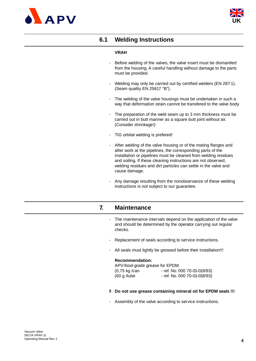



# **6.1 Welding Instructions**

### **VRAH**

- Before welding of the valves, the valve insert must be dismantled from the housing. A careful handling without damage to the parts must be provided.
- Welding may only be carried out by certified welders (EN 287-1). (Seam quality EN 25817 "B").
- The welding of the valve housings must be undertaken in such a way that deformation strain cannot be transfered to the valve body.
- The preparation of the weld seam up to 3 mm thickness must be carried out in butt manner as a square butt joint without air. (Consider shrinkage!)
- TIG orbital welding is prefered!
- After welding of the valve housing or of the mating flanges and after work at the pipelines, the corresponding parts of the installation or pipelines must be cleaned from welding residues and soiling. If these cleaning instructions are not observed, welding residues and dirt particles can settle in the valve and cause damage.
- Any damage resulting from the nonobservance of these welding instructions is not subject to our guarantee.

# **7. Maintenance**

- The maintenance intervals depend on the application of the valve and should be determined by the operator carrying out regular checks.
- Replacement of seals according to service instructions.
- All seals must lightly be greased before their installation!!!

### **Recommendation:**

| APV-food-grade grease for EPDM |                              |
|--------------------------------|------------------------------|
| $(0,75 \text{ kg}/\text{can})$ | - ref. No. 000 70-01-019/93) |
| (60 g/tube)                    | - ref. No. 000 70-01-018/93) |

#### **!! Do not use grease containing mineral oil for EPDM seals !!!**

Assembly of the valve according to service instructions.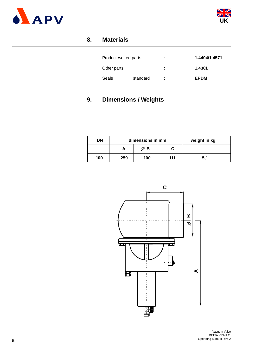



# **8. Materials**

| Product-wetted parts |          | ÷       | 1.4404/1.4571 |
|----------------------|----------|---------|---------------|
| Other parts          |          | ٠<br>۰. | 1.4301        |
| Seals                | standard | ÷       | <b>EPDM</b>   |

# **9. Dimensions / Weights**

| <b>DN</b> |     | dimensions in mm |     | weight in kg |
|-----------|-----|------------------|-----|--------------|
|           |     | ØΒ               |     |              |
| 100       | 259 | 100              | 111 | 5.7          |

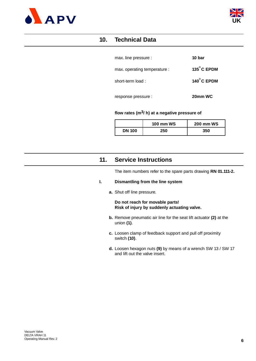



# **10. Technical Data**

| max. line pressure :         | 10 bar               |
|------------------------------|----------------------|
| max. operating temperature : | $135^{\circ}$ C EPDM |
| short-term load:             | $140^\circ$ C EPDM   |
| response pressure :          | 20mm WC              |

### **flow rates (m3/ h) at a negative pressure of**

|               | <b>100 mm WS</b> | <b>200 mm WS</b> |
|---------------|------------------|------------------|
| <b>DN 100</b> | 250              | 350              |

# **11. Service Instructions**

The item numbers refer to the spare parts drawing **RN 01.111-2.**

### **I. Dismantling from the line system**

**a.** Shut off line pressure.

**Do not reach for movable parts! Risk of injury by suddenly actuating valve.**

- **b.** Remove pneumatic air line for the seat lift actuator **(2)** at the union **(1)**.
- **c.** Loosen clamp of feedback support and pull off proximity switch **(10)**.
- **d.** Loosen hexagon nuts **(9)** by means of a wrench SW 13 / SW 17 and lift out the valve insert.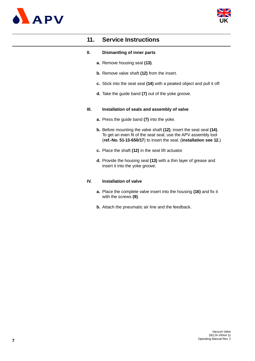



# **11. Service Instructions**

### **II. Dismantling of inner parts**

- **a.** Remove housing seal **(13)**.
- **b.** Remove valve shaft **(12)** from the insert.
- **c.** Stick into the seat seal **(14)** with a peaked object and pull it off.
- **d.** Take the guide band **(7)** out of the yoke groove.

### **III. Installation of seals and assembly of valve**

- **a.** Press the guide band **(7)** into the yoke.
- **b.** Before mounting the valve shaft **(12)**, insert the seat seal **(14)**. To get an even fit of the seat seal, use the APV assembly tool (**ref.-No. 51-13-650/17**) to insert the seal. (**installation see 12.**)
- **c.** Place the shaft **(12)** in the seat lift actuator.
- **d.** Provide the housing seal **(13)** with a thin layer of grease and insert it into the yoke groove.

### **IV. Installation of valve**

- **a.** Place the complete valve insert into the housing **(16)** and fix it with the screws **(9)**.
- **b.** Attach the pneumatic air line and the feedback.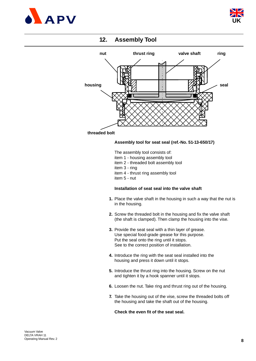



# **12. Assembly Tool**



### **threaded bolt**

### **Assembly tool for seat seal (ref.-No. 51-13-650/17)**

The assembly tool consists of:

- item 1 housing assembly tool
- item 2 threaded bolt assembly tool
- item 3 ring
- item 4 thrust ring assembly tool
- item 5 nut

### **Installation of seat seal into the valve shaft**

- **1.** Place the valve shaft in the housing in such a way that the nut is in the housing.
- **2.** Screw the threaded bolt in the housing and fix the valve shaft (the shaft is clamped). Then clamp the housing into the vise.
- **3.** Provide the seat seal with a thin layer of grease. Use special food-grade grease for this purpose. Put the seal onto the ring until it stops. See to the correct position of installation.
- **4.** Introduce the ring with the seat seal installed into the housing and press it down until it stops.
- **5.** Introduce the thrust ring into the housing. Screw on the nut and tighten it by a hook spanner until it stops.
- **6.** Loosen the nut. Take ring and thrust ring out of the housing.
- **7.** Take the housing out of the vise, screw the threaded bolts off the housing and take the shaft out of the housing.

### **Check the even fit of the seat seal.**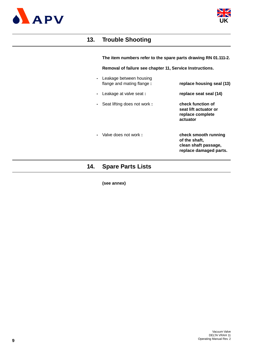



# **13. Trouble Shooting**

**The item numbers refer to the spare parts drawing RN 01.111-2.**

**Removal of failure see chapter 11, Service Instructions.**

- Leakage between housing flange and mating flange **: replace housing seal (13)**
- **-** Leakage at valve seat **: replace seat seal (14)**
- **-** Seat lifting does not work **: check function of**
- 

**-** Valve does not work **: check smooth running of the shaft, clean shaft passage, replace damaged parts.**

**seat lift actuator or replace complete**

**actuator**

# **14. Spare Parts Lists**

### **(see annex)**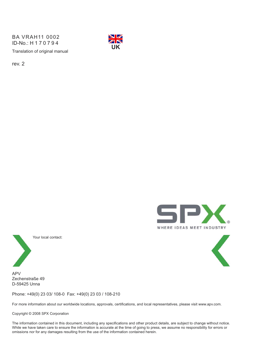Translation of original manual BA VRAH11 0002 ID-No.: H170794



rev. 2





Your local contact:

APV Zechenstraße 49 D-59425 Unna

Phone: +49(0) 23 03/ 108-0 Fax: +49(0) 23 03 / 108-210

For more information about our worldwide locations, approvals, certifications, and local representatives, please visit www.apv.com.

Copyright © 2008 SPX Corporation

The information contained in this document, including any specifications and other product details, are subject to change without notice. While we have taken care to ensure the information is accurate at the time of going to press, we assume no responsibility for errors or omissions nor for any damages resulting from the use of the information contained herein.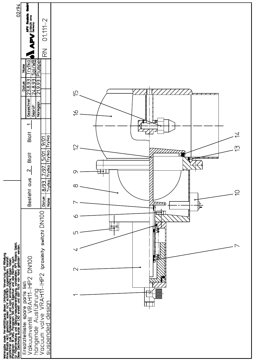| 02/94                                                                                                                                                                                                                                | 看看                                                           |                                                                       |
|--------------------------------------------------------------------------------------------------------------------------------------------------------------------------------------------------------------------------------------|--------------------------------------------------------------|-----------------------------------------------------------------------|
|                                                                                                                                                                                                                                      | <b>APV Roatsta</b><br>D-59425 Uma<br>Germany<br>$01.111 - 2$ |                                                                       |
|                                                                                                                                                                                                                                      | $\underset{\text{K}}{\gtrsim}$                               |                                                                       |
|                                                                                                                                                                                                                                      | <b>Trylight</b><br>Salving<br>Plümer<br><b>Name</b>          |                                                                       |
|                                                                                                                                                                                                                                      | 23.8.93<br>24.8.93<br>21.9.93<br>Datum                       | $\overline{\overline{1}}$                                             |
|                                                                                                                                                                                                                                      | Gezeichnet<br>Normgepr.<br>Geprüff                           | $\widetilde{9}$                                                       |
|                                                                                                                                                                                                                                      | $\overline{\phantom{0}}$                                     |                                                                       |
|                                                                                                                                                                                                                                      | Blatt<br><u>20/6</u>                                         | $\overline{4}$<br>Trytko<br>$\overline{C}$<br>$\overline{\mathbb{C}}$ |
|                                                                                                                                                                                                                                      | 5/01<br><b>Blatt</b>                                         | Trytko                                                                |
|                                                                                                                                                                                                                                      | 7/97<br>$\mathbf{\Omega}$                                    | <b>Trytko</b><br>⊞<br>$\sigma$                                        |
|                                                                                                                                                                                                                                      | Besteht aus<br>$\frac{1}{2}$<br>Datum                        | <b>Trytko</b><br>$\infty$<br>$\bigcirc$<br>Name                       |
|                                                                                                                                                                                                                                      |                                                              | $\overline{\phantom{a}}$<br>स्ति<br>∨                                 |
|                                                                                                                                                                                                                                      |                                                              | ப                                                                     |
|                                                                                                                                                                                                                                      | (proximity switch) DN100                                     | $\overline{\phantom{1}}$<br>ィ                                         |
|                                                                                                                                                                                                                                      | DN100                                                        | $\mathbf{\Omega}$                                                     |
|                                                                                                                                                                                                                                      | VRAH11-IHP2<br>list:                                         |                                                                       |
|                                                                                                                                                                                                                                      | spare parts list:<br>il VRAH11-IHP2<br>Ausführung<br>parts   | ╪<br>ᡪ                                                                |
|                                                                                                                                                                                                                                      | valve                                                        | desig                                                                 |
| Weitergabe sowie Vervielfältigung dieser Unterlage, Verwertung und Mitteilung<br>ihres Finalts nicht gestaltet, soweit nicht schrifflich zugestanden. Verstoß<br>verpflichtet zum Schadensersatz und kann strafrechtliche Folgen hab | Vakuumventil<br>Ersatzteilliste:<br>hängende<br>Vacuum       | <u>suspended</u>                                                      |
|                                                                                                                                                                                                                                      |                                                              |                                                                       |